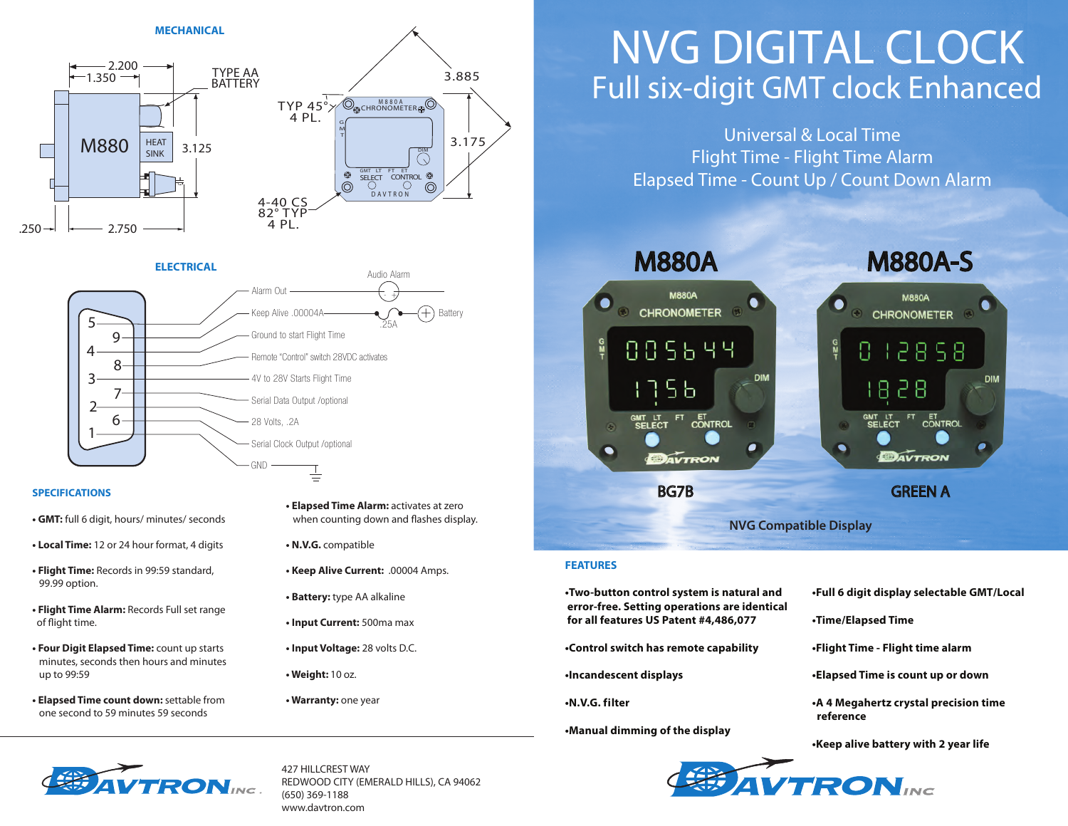

#### **ELECTRICAL** Audio Alarm Alarm Out - +  $\widehat{+}$ Keep Alive .00004A Battery5 .25A 9 Ground to start Flight Time 4 Remote "Control" switch 28VDC activates 8 3 4V to 28V Starts Flight Time 7 Serial Data Output /optional 2 6 28 Volts, .2A 1 Serial Clock Output /optional GND Ė

#### **SPECIFICATIONS**

- **GMT:** full 6 digit, hours/ minutes/ seconds
- **Local Time:** 12 or 24 hour format, 4 digits
- **Flight Time:** Records in 99:59 standard, 99.99 option.
- **Flight Time Alarm:** Records Full set range of flight time.
- **Four Digit Elapsed Time:** count up starts minutes, seconds then hours and minutes up to 99:59
- **Elapsed Time count down:** settable from one second to 59 minutes 59 seconds
- **Elapsed Time Alarm:** activates at zero when counting down and flashes display.
- **N.V.G.** compatible
- **Keep Alive Current:** .00004 Amps.
- **Battery:** type AA alkaline
- **Input Current:** 500ma max
- **Input Voltage:** 28 volts D.C.
- **Weight:** 10 oz.
- **Warranty:** one year

# Full six-digit GMT clock Enhanced NVG DIGITAL CLOCK

Universal & Local Time Flight Time - Flight Time Alarm Elapsed Time - Count Up / Count Down Alarm

M880A M880A-S **M880A CHRONOMETER CHRONOMETER** 885644 12858 **DIM DIM** -8 28 5 Ե FT ET CONTROL GMT LT<br>SELECT FT ET CONTROL GMT LT<br>SELECT DAVTRON DAVTRON BG7B GREEN A **NVG Compatible Display**

#### **FEATURES**

**•Two-button control system is natural and error-free. Setting operations are identical for all features US Patent #4,486,077**

**•Control switch has remote capability**

**•Incandescent displays**

**•N.V.G. f i lter**

**•Manual dimming of the display**

**•Full 6 digit display selectable GMT/Local** 

- **•Time/Elapsed Time**
- **•Flight Time Flight time alarm**
- **•Elapsed Time is count up or down**
- **•A 4 Megahertz crystal precision time reference**

**•Keep alive battery with 2 year life**



427 HILLCREST WAY REDWOOD CITY (EMERALD HILLS), CA 94062 (650) 369-1188 www.davtron.com